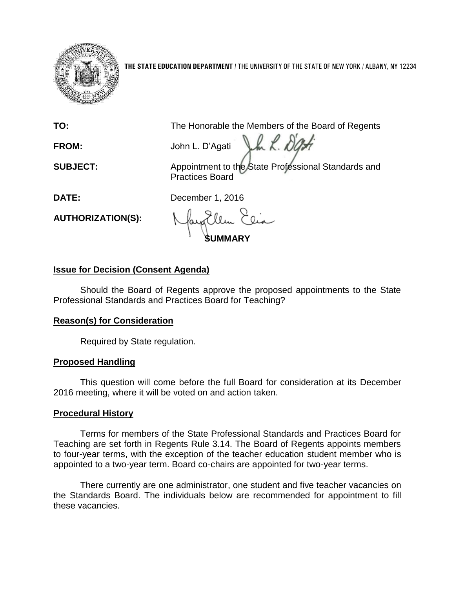

**THE STATE EDUCATION DEPARTMENT** / THE UNIVERSITY OF THE STATE OF NEW YORK / ALBANY, NY 12234

**TO:** The Honorable the Members of the Board of Regents

**FROM:** John L. D'Agati Jan K. DG

**SUBJECT:** Appointment to the State Professional Standards and Practices Board

**DATE:** December 1, 2016

**AUTHORIZATION(S):**

**SUMMARY**

# **Issue for Decision (Consent Agenda)**

Should the Board of Regents approve the proposed appointments to the State Professional Standards and Practices Board for Teaching?

## **Reason(s) for Consideration**

Required by State regulation.

## **Proposed Handling**

This question will come before the full Board for consideration at its December 2016 meeting, where it will be voted on and action taken.

# **Procedural History**

Terms for members of the State Professional Standards and Practices Board for Teaching are set forth in Regents Rule 3.14. The Board of Regents appoints members to four-year terms, with the exception of the teacher education student member who is appointed to a two-year term. Board co-chairs are appointed for two-year terms.

There currently are one administrator, one student and five teacher vacancies on the Standards Board. The individuals below are recommended for appointment to fill these vacancies.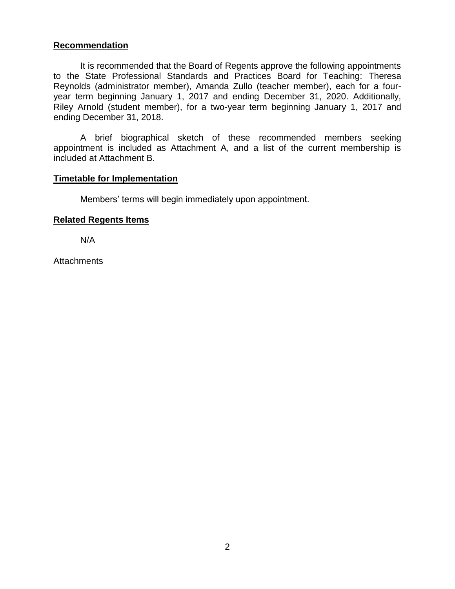### **Recommendation**

It is recommended that the Board of Regents approve the following appointments to the State Professional Standards and Practices Board for Teaching: Theresa Reynolds (administrator member), Amanda Zullo (teacher member), each for a fouryear term beginning January 1, 2017 and ending December 31, 2020. Additionally, Riley Arnold (student member), for a two-year term beginning January 1, 2017 and ending December 31, 2018.

A brief biographical sketch of these recommended members seeking appointment is included as Attachment A, and a list of the current membership is included at Attachment B.

#### **Timetable for Implementation**

Members' terms will begin immediately upon appointment.

#### **Related Regents Items**

N/A

**Attachments**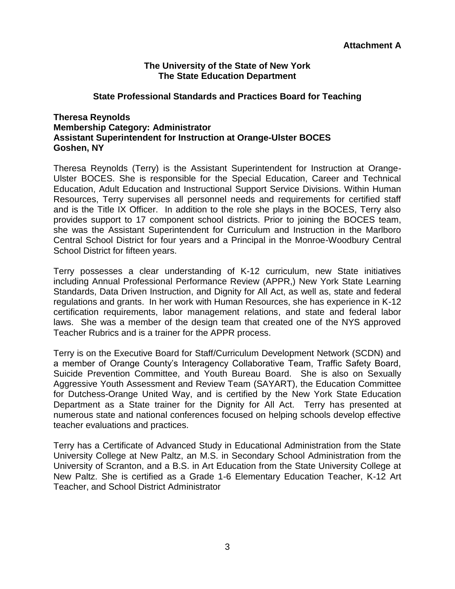#### **The University of the State of New York The State Education Department**

### **State Professional Standards and Practices Board for Teaching**

### **Theresa Reynolds Membership Category: Administrator Assistant Superintendent for Instruction at Orange-Ulster BOCES Goshen, NY**

Theresa Reynolds (Terry) is the Assistant Superintendent for Instruction at Orange-Ulster BOCES. She is responsible for the Special Education, Career and Technical Education, Adult Education and Instructional Support Service Divisions. Within Human Resources, Terry supervises all personnel needs and requirements for certified staff and is the Title IX Officer. In addition to the role she plays in the BOCES, Terry also provides support to 17 component school districts. Prior to joining the BOCES team, she was the Assistant Superintendent for Curriculum and Instruction in the Marlboro Central School District for four years and a Principal in the Monroe-Woodbury Central School District for fifteen years.

Terry possesses a clear understanding of K-12 curriculum, new State initiatives including Annual Professional Performance Review (APPR,) New York State Learning Standards, Data Driven Instruction, and Dignity for All Act, as well as, state and federal regulations and grants. In her work with Human Resources, she has experience in K-12 certification requirements, labor management relations, and state and federal labor laws. She was a member of the design team that created one of the NYS approved Teacher Rubrics and is a trainer for the APPR process.

Terry is on the Executive Board for Staff/Curriculum Development Network (SCDN) and a member of Orange County's Interagency Collaborative Team, Traffic Safety Board, Suicide Prevention Committee, and Youth Bureau Board. She is also on Sexually Aggressive Youth Assessment and Review Team (SAYART), the Education Committee for Dutchess-Orange United Way, and is certified by the New York State Education Department as a State trainer for the Dignity for All Act. Terry has presented at numerous state and national conferences focused on helping schools develop effective teacher evaluations and practices.

Terry has a Certificate of Advanced Study in Educational Administration from the State University College at New Paltz, an M.S. in Secondary School Administration from the University of Scranton, and a B.S. in Art Education from the State University College at New Paltz. She is certified as a Grade 1-6 Elementary Education Teacher, K-12 Art Teacher, and School District Administrator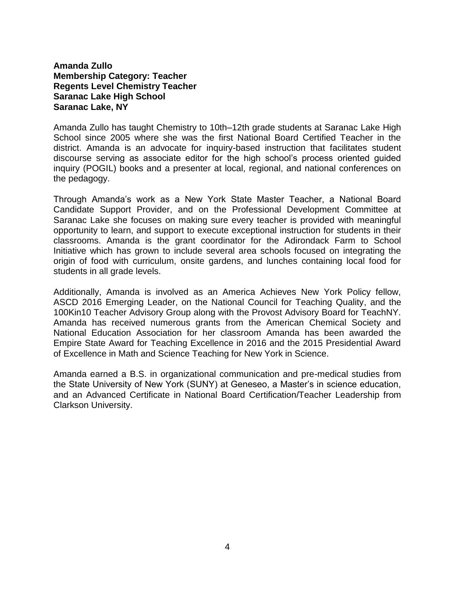#### **Amanda Zullo Membership Category: Teacher Regents Level Chemistry Teacher Saranac Lake High School Saranac Lake, NY**

Amanda Zullo has taught Chemistry to 10th–12th grade students at Saranac Lake High School since 2005 where she was the first National Board Certified Teacher in the district. Amanda is an advocate for inquiry-based instruction that facilitates student discourse serving as associate editor for the high school's process oriented guided inquiry (POGIL) books and a presenter at local, regional, and national conferences on the pedagogy.

Through Amanda's work as a New York State Master Teacher, a National Board Candidate Support Provider, and on the Professional Development Committee at Saranac Lake she focuses on making sure every teacher is provided with meaningful opportunity to learn, and support to execute exceptional instruction for students in their classrooms. Amanda is the grant coordinator for the Adirondack Farm to School Initiative which has grown to include several area schools focused on integrating the origin of food with curriculum, onsite gardens, and lunches containing local food for students in all grade levels.

Additionally, Amanda is involved as an America Achieves New York Policy fellow, ASCD 2016 Emerging Leader, on the National Council for Teaching Quality, and the 100Kin10 Teacher Advisory Group along with the Provost Advisory Board for TeachNY. Amanda has received numerous grants from the American Chemical Society and National Education Association for her classroom Amanda has been awarded the Empire State Award for Teaching Excellence in 2016 and the 2015 Presidential Award of Excellence in Math and Science Teaching for New York in Science.

Amanda earned a B.S. in organizational communication and pre-medical studies from the State University of New York (SUNY) at Geneseo, a Master's in science education, and an Advanced Certificate in National Board Certification/Teacher Leadership from Clarkson University.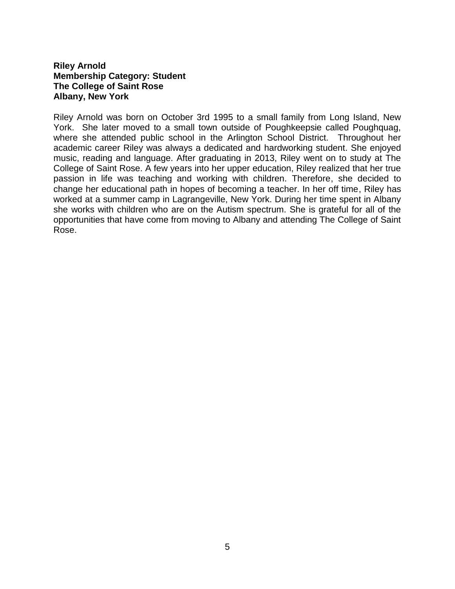### **Riley Arnold Membership Category: Student The College of Saint Rose Albany, New York**

Riley Arnold was born on October 3rd 1995 to a small family from Long Island, New York. She later moved to a small town outside of Poughkeepsie called Poughquag, where she attended public school in the Arlington School District. Throughout her academic career Riley was always a dedicated and hardworking student. She enjoyed music, reading and language. After graduating in 2013, Riley went on to study at The College of Saint Rose. A few years into her upper education, Riley realized that her true passion in life was teaching and working with children. Therefore, she decided to change her educational path in hopes of becoming a teacher. In her off time, Riley has worked at a summer camp in Lagrangeville, New York. During her time spent in Albany she works with children who are on the Autism spectrum. She is grateful for all of the opportunities that have come from moving to Albany and attending The College of Saint Rose.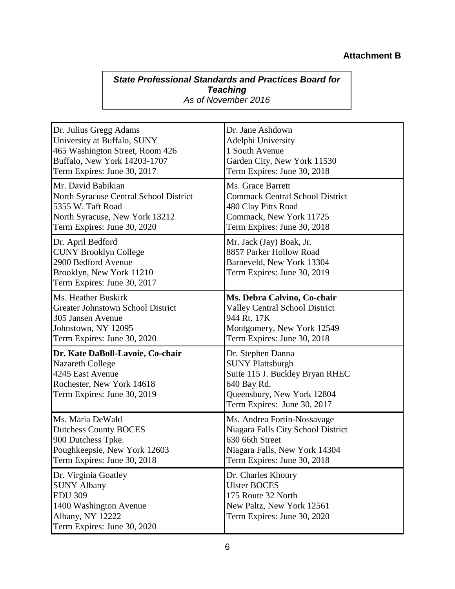# **Attachment B**

## *State Professional Standards and Practices Board for Teaching As of November 2016*

| Dr. Julius Gregg Adams                                                                                                                      | Dr. Jane Ashdown                                                                                                                                            |
|---------------------------------------------------------------------------------------------------------------------------------------------|-------------------------------------------------------------------------------------------------------------------------------------------------------------|
| University at Buffalo, SUNY                                                                                                                 | Adelphi University                                                                                                                                          |
| 465 Washington Street, Room 426                                                                                                             | 1 South Avenue                                                                                                                                              |
| Buffalo, New York 14203-1707                                                                                                                | Garden City, New York 11530                                                                                                                                 |
| Term Expires: June 30, 2017                                                                                                                 | Term Expires: June 30, 2018                                                                                                                                 |
| Mr. David Babikian                                                                                                                          | Ms. Grace Barrett                                                                                                                                           |
| North Syracuse Central School District                                                                                                      | <b>Commack Central School District</b>                                                                                                                      |
| 5355 W. Taft Road                                                                                                                           | 480 Clay Pitts Road                                                                                                                                         |
| North Syracuse, New York 13212                                                                                                              | Commack, New York 11725                                                                                                                                     |
| Term Expires: June 30, 2020                                                                                                                 | Term Expires: June 30, 2018                                                                                                                                 |
| Dr. April Bedford<br><b>CUNY Brooklyn College</b><br>2900 Bedford Avenue<br>Brooklyn, New York 11210<br>Term Expires: June 30, 2017         | Mr. Jack (Jay) Boak, Jr.<br>8857 Parker Hollow Road<br>Barneveld, New York 13304<br>Term Expires: June 30, 2019                                             |
| Ms. Heather Buskirk                                                                                                                         | Ms. Debra Calvino, Co-chair                                                                                                                                 |
| <b>Greater Johnstown School District</b>                                                                                                    | <b>Valley Central School District</b>                                                                                                                       |
| 305 Jansen Avenue                                                                                                                           | 944 Rt. 17K                                                                                                                                                 |
| Johnstown, NY 12095                                                                                                                         | Montgomery, New York 12549                                                                                                                                  |
| Term Expires: June 30, 2020                                                                                                                 | Term Expires: June 30, 2018                                                                                                                                 |
| Dr. Kate DaBoll-Lavoie, Co-chair<br><b>Nazareth College</b><br>4245 East Avenue<br>Rochester, New York 14618<br>Term Expires: June 30, 2019 | Dr. Stephen Danna<br><b>SUNY Plattsburgh</b><br>Suite 115 J. Buckley Bryan RHEC<br>640 Bay Rd.<br>Queensbury, New York 12804<br>Term Expires: June 30, 2017 |
| Ms. Maria DeWald                                                                                                                            | Ms. Andrea Fortin-Nossavage                                                                                                                                 |
| <b>Dutchess County BOCES</b>                                                                                                                | Niagara Falls City School District                                                                                                                          |
| 900 Dutchess Tpke.                                                                                                                          | 630 66th Street                                                                                                                                             |
| Poughkeepsie, New York 12603                                                                                                                | Niagara Falls, New York 14304                                                                                                                               |
| Term Expires: June 30, 2018                                                                                                                 | Term Expires: June 30, 2018                                                                                                                                 |
| Dr. Virginia Goatley<br><b>SUNY Albany</b><br><b>EDU 309</b><br>1400 Washington Avenue<br>Albany, NY 12222<br>Term Expires: June 30, 2020   | Dr. Charles Khoury<br><b>Ulster BOCES</b><br>175 Route 32 North<br>New Paltz, New York 12561<br>Term Expires: June 30, 2020                                 |